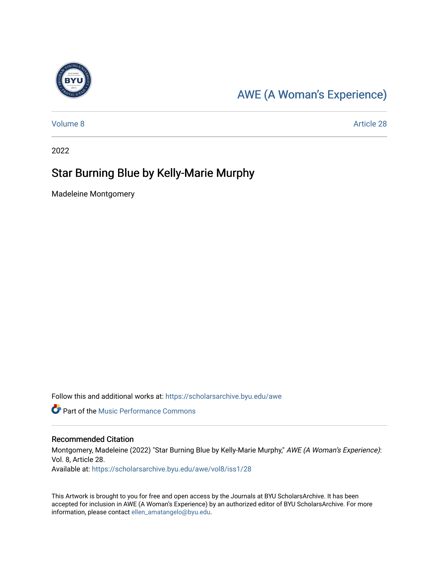

## [AWE \(A Woman's Experience\)](https://scholarsarchive.byu.edu/awe)

[Volume 8](https://scholarsarchive.byu.edu/awe/vol8) Article 28

2022

## Star Burning Blue by Kelly-Marie Murphy

Madeleine Montgomery

Follow this and additional works at: [https://scholarsarchive.byu.edu/awe](https://scholarsarchive.byu.edu/awe?utm_source=scholarsarchive.byu.edu%2Fawe%2Fvol8%2Fiss1%2F28&utm_medium=PDF&utm_campaign=PDFCoverPages)

**Part of the [Music Performance Commons](https://network.bepress.com/hgg/discipline/1128?utm_source=scholarsarchive.byu.edu%2Fawe%2Fvol8%2Fiss1%2F28&utm_medium=PDF&utm_campaign=PDFCoverPages)** 

## Recommended Citation

Montgomery, Madeleine (2022) "Star Burning Blue by Kelly-Marie Murphy," AWE (A Woman's Experience): Vol. 8, Article 28. Available at: [https://scholarsarchive.byu.edu/awe/vol8/iss1/28](https://scholarsarchive.byu.edu/awe/vol8/iss1/28?utm_source=scholarsarchive.byu.edu%2Fawe%2Fvol8%2Fiss1%2F28&utm_medium=PDF&utm_campaign=PDFCoverPages) 

This Artwork is brought to you for free and open access by the Journals at BYU ScholarsArchive. It has been accepted for inclusion in AWE (A Woman's Experience) by an authorized editor of BYU ScholarsArchive. For more information, please contact [ellen\\_amatangelo@byu.edu.](mailto:ellen_amatangelo@byu.edu)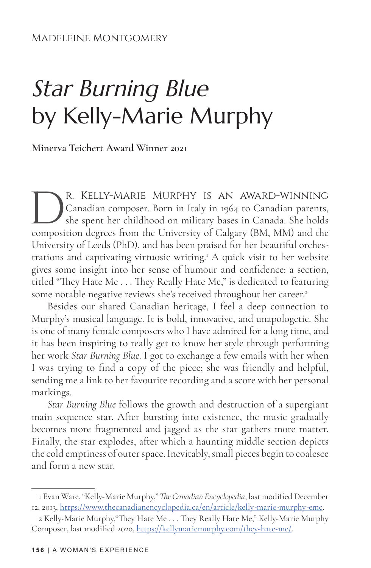## Star Burning Blue by Kelly-Marie Murphy

**Minerva Teichert Award Winner 2021**

R. KELLY-MARIE MURPHY IS AN AWARD-WINNING<br>Canadian composer. Born in Italy in 1964 to Canadian parents,<br>she spent her childhood on military bases in Canada. She holds<br>composition degrees from the University of Calgary (BM, Canadian composer. Born in Italy in 1964 to Canadian parents, she spent her childhood on military bases in Canada. She holds composition degrees from the University of Calgary (BM, MM) and the University of Leeds (PhD), and has been praised for her beautiful orchestrations and captivating virtuosic writing.<sup>1</sup> A quick visit to her website gives some insight into her sense of humour and confidence: a section, titled "They Hate Me . . . They Really Hate Me," is dedicated to featuring some notable negative reviews she's received throughout her career.<sup>2</sup>

Besides our shared Canadian heritage, I feel a deep connection to Murphy's musical language. It is bold, innovative, and unapologetic. She is one of many female composers who I have admired for a long time, and it has been inspiring to really get to know her style through performing her work *Star Burning Blue*. I got to exchange a few emails with her when I was trying to find a copy of the piece; she was friendly and helpful, sending me a link to her favourite recording and a score with her personal markings.

*Star Burning Blue* follows the growth and destruction of a supergiant main sequence star. After bursting into existence, the music gradually becomes more fragmented and jagged as the star gathers more matter. Finally, the star explodes, after which a haunting middle section depicts the cold emptiness of outer space. Inevitably, small pieces begin to coalesce and form a new star.

<sup>1</sup> Evan Ware, "Kelly-Marie Murphy," *The Canadian Encyclopedia*, last modified December 12, 2013, https://www.thecanadianencyclopedia.ca/en/article/kelly-marie-murphy-emc.

<sup>2</sup> Kelly-Marie Murphy,"They Hate Me . . . They Really Hate Me," Kelly-Marie Murphy Composer, last modified 2020, https://kellymariemurphy.com/they-hate-me/.